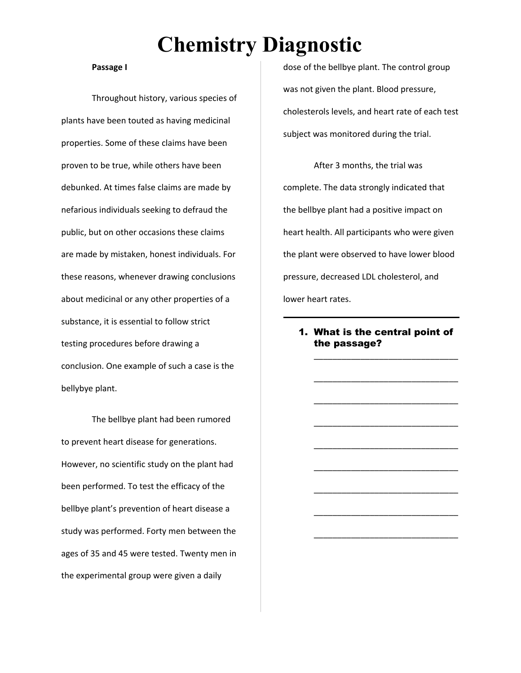#### **Passage I**

Throughout history, various species of plants have been touted as having medicinal properties. Some of these claims have been proven to be true, while others have been debunked. At times false claims are made by nefarious individuals seeking to defraud the public, but on other occasions these claims are made by mistaken, honest individuals. For these reasons, whenever drawing conclusions about medicinal or any other properties of a substance, it is essential to follow strict testing procedures before drawing a conclusion. One example of such a case is the bellybye plant.

The bellbye plant had been rumored to prevent heart disease for generations. However, no scientific study on the plant had been performed. To test the efficacy of the bellbye plant's prevention of heart disease a study was performed. Forty men between the ages of 35 and 45 were tested. Twenty men in the experimental group were given a daily

dose of the bellbye plant. The control group was not given the plant. Blood pressure, cholesterols levels, and heart rate of each test subject was monitored during the trial.

After 3 months, the trial was complete. The data strongly indicated that the bellbye plant had a positive impact on heart health. All participants who were given the plant were observed to have lower blood pressure, decreased LDL cholesterol, and lower heart rates.

### 1. What is the central point of the passage?

\_\_\_\_\_\_\_\_\_\_\_\_\_\_\_\_\_\_\_\_\_\_\_\_\_\_\_\_\_\_\_

\_\_\_\_\_\_\_\_\_\_\_\_\_\_\_\_\_\_\_\_\_\_\_\_\_\_\_\_\_\_\_

\_\_\_\_\_\_\_\_\_\_\_\_\_\_\_\_\_\_\_\_\_\_\_\_\_\_\_\_\_\_\_

\_\_\_\_\_\_\_\_\_\_\_\_\_\_\_\_\_\_\_\_\_\_\_\_\_\_\_\_\_\_\_

\_\_\_\_\_\_\_\_\_\_\_\_\_\_\_\_\_\_\_\_\_\_\_\_\_\_\_\_\_\_\_

\_\_\_\_\_\_\_\_\_\_\_\_\_\_\_\_\_\_\_\_\_\_\_\_\_\_\_\_\_\_\_

\_\_\_\_\_\_\_\_\_\_\_\_\_\_\_\_\_\_\_\_\_\_\_\_\_\_\_\_\_\_\_

\_\_\_\_\_\_\_\_\_\_\_\_\_\_\_\_\_\_\_\_\_\_\_\_\_\_\_\_\_\_\_

\_\_\_\_\_\_\_\_\_\_\_\_\_\_\_\_\_\_\_\_\_\_\_\_\_\_\_\_\_\_\_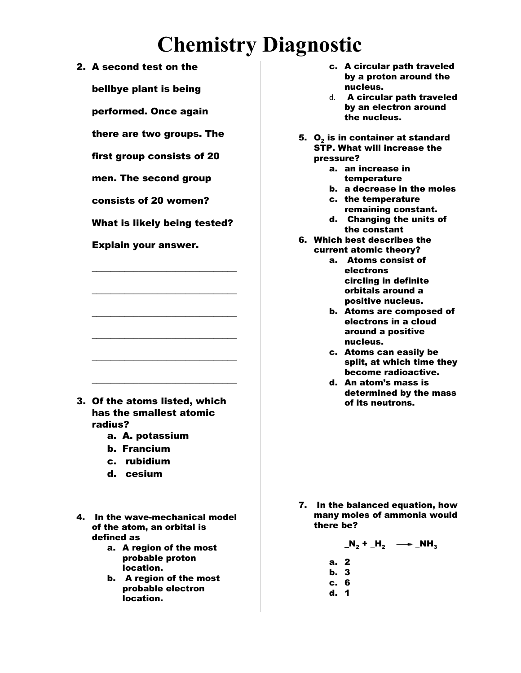2. A second test on the

bellbye plant is being

performed. Once again

there are two groups. The

first group consists of 20

men. The second group

consists of 20 women?

What is likely being tested?

\_\_\_\_\_\_\_\_\_\_\_\_\_\_\_\_\_\_\_\_\_\_\_\_\_\_\_\_\_\_\_

\_\_\_\_\_\_\_\_\_\_\_\_\_\_\_\_\_\_\_\_\_\_\_\_\_\_\_\_\_\_\_

\_\_\_\_\_\_\_\_\_\_\_\_\_\_\_\_\_\_\_\_\_\_\_\_\_\_\_\_\_\_\_

\_\_\_\_\_\_\_\_\_\_\_\_\_\_\_\_\_\_\_\_\_\_\_\_\_\_\_\_\_\_\_

\_\_\_\_\_\_\_\_\_\_\_\_\_\_\_\_\_\_\_\_\_\_\_\_\_\_\_\_\_\_\_

\_\_\_\_\_\_\_\_\_\_\_\_\_\_\_\_\_\_\_\_\_\_\_\_\_\_\_\_\_\_\_

Explain your answer.

- 3. Of the atoms listed, which has the smallest atomic radius?
	- a. A. potassium
	- b. Francium
	- c. rubidium
	- d. cesium
- 4. In the wave-mechanical model of the atom, an orbital is defined as
	- a. A region of the most probable proton location.
	- b. A region of the most probable electron location.
- c. A circular path traveled by a proton around the nucleus.
- d. A circular path traveled by an electron around the nucleus.
- 5.  $\, {\bf O}_2$  is in container at standard STP. What will increase the pressure?
	- a. an increase in temperature
	- b. a decrease in the moles
	- c. the temperature remaining constant.
	- d. Changing the units of the constant
- 6. Which best describes the current atomic theory?
	- a. Atoms consist of electrons circling in definite orbitals around a positive nucleus.
	- b. Atoms are composed of electrons in a cloud around a positive nucleus.
	- c. Atoms can easily be split, at which time they become radioactive.
	- d. An atom's mass is determined by the mass of its neutrons.

7. In the balanced equation, how many moles of ammonia would there be?

$$
\mathbf{N_2} + \mathbf{H_2} \quad \longrightarrow \quad \mathbf{NH_3}
$$

- a. 2
- b. 3
- c. 6
- d. 1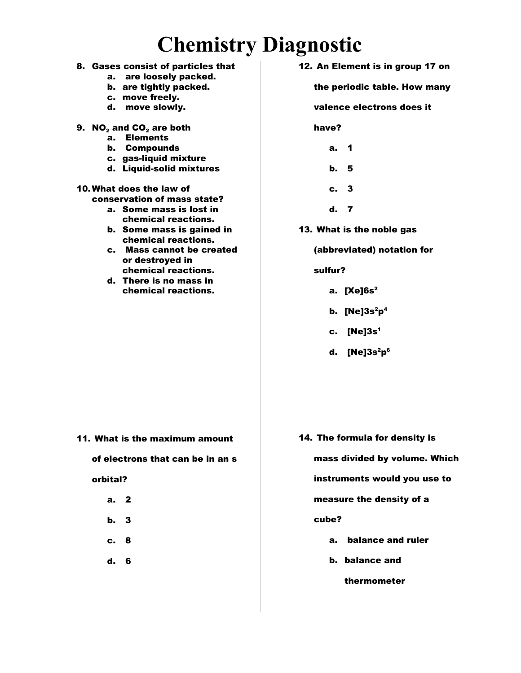- 8. Gases consist of particles that
	- a. are loosely packed.
	- b. are tightly packed.
	- c. move freely.
	- d. move slowly.
- 9.  $NO<sub>2</sub>$  and  $CO<sub>2</sub>$  are both
	- a. Elements
	- b. Compounds
	- c. gas-liquid mixture
	- d. Liquid-solid mixtures

### 10.What does the law of

- conservation of mass state?
	- a. Some mass is lost in chemical reactions.
	- b. Some mass is gained in chemical reactions.
	- c. Mass cannot be created or destroyed in chemical reactions.
	- d. There is no mass in chemical reactions.

12. An Element is in group 17 on

the periodic table. How many

#### valence electrons does it

have?

- a. 1
- b. 5
- c. 3
- d. 7
- 13. What is the noble gas

#### (abbreviated) notation for

#### sulfur?

- a. [Xe]6s 2
- b. [Ne]3s <sup>2</sup>p 4
- c. [Ne]3s 1
- d. [Ne]3s <sup>2</sup>p 6

11. What is the maximum amount

#### of electrons that can be in an s

#### orbital?

- a. 2
- b. 3
- c. 8
- d. 6

14. The formula for density is

mass divided by volume. Which

instruments would you use to

measure the density of a

#### cube?

- a. balance and ruler
- b. balance and

#### thermometer